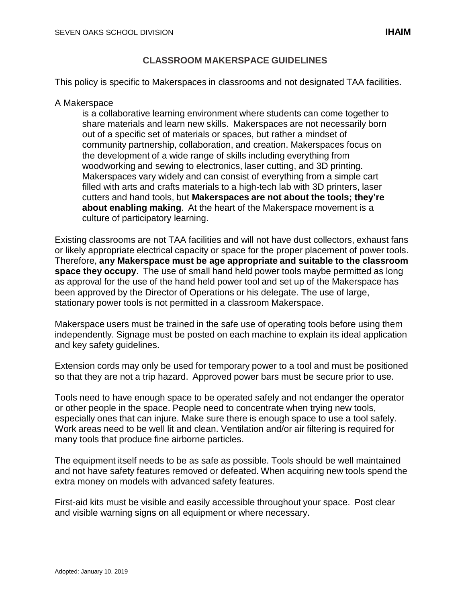### **CLASSROOM MAKERSPACE GUIDELINES**

This policy is specific to Makerspaces in classrooms and not designated TAA facilities.

#### A Makerspace

is a collaborative learning environment where students can come together to share materials and learn new skills. Makerspaces are not necessarily born out of a specific set of materials or spaces, but rather a mindset of community partnership, collaboration, and creation. Makerspaces focus on the development of a wide range of skills including everything from woodworking and sewing to electronics, laser cutting, and 3D printing. Makerspaces vary widely and can consist of everything from [a simple](https://smithsystem.com/furniture/everything-cart/) cart filled with arts and crafts materials to a high-tech lab with 3D printers, laser cutters and hand tools, but **Makerspaces are not about the tools; they're about enabling making**. At the heart of the Makerspace movement is a culture of participatory learning.

Existing classrooms are not TAA facilities and will not have dust collectors, exhaust fans or likely appropriate electrical capacity or space for the proper placement of power tools. Therefore, **any Makerspace must be age appropriate and suitable to the classroom space they occupy**. The use of small hand held power tools maybe permitted as long as approval for the use of the hand held power tool and set up of the Makerspace has been approved by the Director of Operations or his delegate. The use of large, stationary power tools is not permitted in a classroom Makerspace.

Makerspace users must be trained in the safe use of operating tools before using them independently. Signage must be posted on each machine to explain its ideal application and key safety guidelines.

Extension cords may only be used for temporary power to a tool and must be positioned so that they are not a trip hazard. Approved power bars must be secure prior to use.

Tools need to have enough space to be operated safely and not endanger the operator or other people in the space. People need to concentrate when trying new tools, especially ones that can injure. Make sure there is enough space to use a tool safely. Work areas need to be well lit and clean. Ventilation and/or air filtering is required for many tools that produce fine airborne particles.

The equipment itself needs to be as safe as possible. Tools should be well maintained and not have safety features removed or defeated. When acquiring new tools spend the extra money on models with advanced safety features.

First-aid kits must be visible and easily accessible throughout your space. Post clear and visible warning signs on all equipment or where necessary.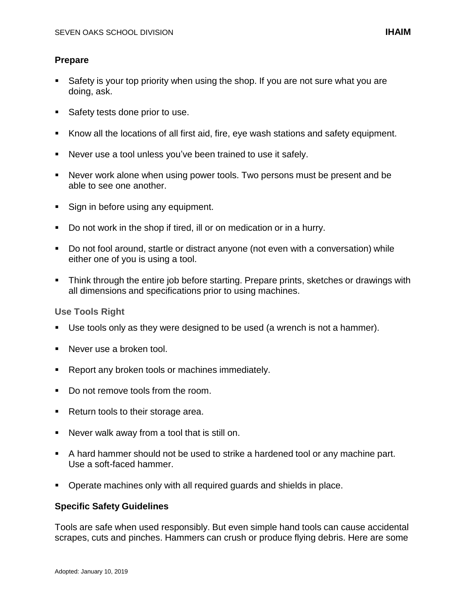## **Prepare**

- Safety is your top priority when using the shop. If you are not sure what you are doing, ask.
- Safety tests done prior to use.
- Know all the locations of all first aid, fire, eye wash stations and safety equipment.
- Never use a tool unless you've been trained to use it safely.
- Never work alone when using power tools. Two persons must be present and be able to see one another.
- Sign in before using any equipment.
- Do not work in the shop if tired, ill or on medication or in a hurry.
- Do not fool around, startle or distract anyone (not even with a conversation) while either one of you is using a tool.
- Think through the entire job before starting. Prepare prints, sketches or drawings with all dimensions and specifications prior to using machines.

### **Use Tools Right**

- Use tools only as they were designed to be used (a wrench is not a hammer).
- Never use a broken tool.
- **Report any broken tools or machines immediately.**
- Do not remove tools from the room.
- Return tools to their storage area.
- Never walk away from a tool that is still on.
- A hard hammer should not be used to strike a hardened tool or any machine part. Use a soft-faced hammer.
- Operate machines only with all required guards and shields in place.

### **Specific Safety Guidelines**

Tools are safe when used responsibly. But even simple hand tools can cause accidental scrapes, cuts and pinches. Hammers can crush or produce flying debris. Here are some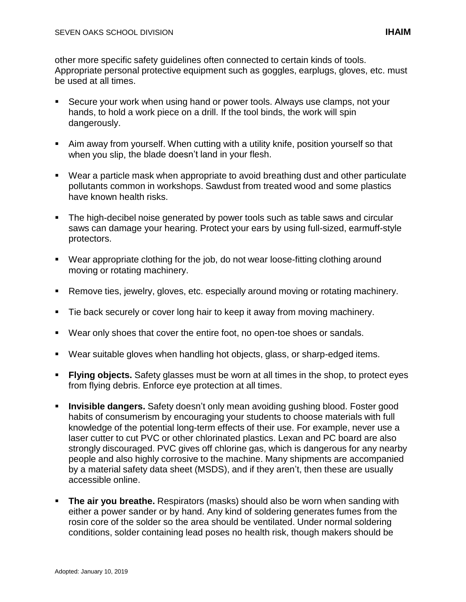other more specific safety guidelines often connected to certain kinds of tools. Appropriate personal protective equipment such as goggles, earplugs, gloves, etc. must be used at all times.

- Secure your work when using hand or power tools. Always use clamps, not your hands, to hold a work piece on a drill. If the tool binds, the work will spin dangerously.
- Aim away from yourself. When cutting with a utility knife, position yourself so that when you slip, the blade doesn't land in your flesh.
- Wear a particle mask when appropriate to avoid breathing dust and other particulate pollutants common in workshops. Sawdust from treated wood and some plastics have known health risks.
- The high-decibel noise generated by power tools such as table saws and circular saws can damage your hearing. Protect your ears by using full-sized, earmuff-style protectors.
- Wear appropriate clothing for the job, do not wear loose-fitting clothing around moving or rotating machinery.
- Remove ties, jewelry, gloves, etc. especially around moving or rotating machinery.
- **Tie back securely or cover long hair to keep it away from moving machinery.**
- Wear only shoes that cover the entire foot, no open-toe shoes or sandals.
- Wear suitable gloves when handling hot objects, glass, or sharp-edged items.
- **Flying objects.** Safety glasses must be worn at all times in the shop, to protect eyes from flying debris. Enforce eye protection at all times.
- **Invisible dangers.** Safety doesn't only mean avoiding gushing blood. Foster good habits of consumerism by encouraging your students to choose materials with full knowledge of the potential long-term effects of their use. For example, never use a laser cutter to cut PVC or other chlorinated plastics. Lexan and PC board are also strongly discouraged. PVC gives off chlorine gas, which is dangerous for any nearby people and also highly corrosive to the machine. Many shipments are accompanied by a material safety data sheet (MSDS), and if they aren't, then these are usually accessible online.
- **The air you breathe.** Respirators (masks) should also be worn when sanding with either a power sander or by hand. Any kind of soldering generates fumes from the rosin core of the solder so the area should be ventilated. Under normal soldering conditions, solder containing lead poses no health risk, though makers should be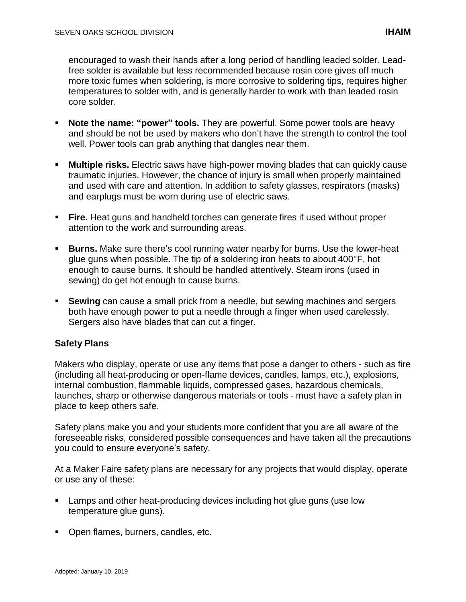encouraged to wash their hands after a long period of handling leaded solder. Leadfree solder is available but less recommended because rosin core gives off much more toxic fumes when soldering, is more corrosive to soldering tips, requires higher temperatures to solder with, and is generally harder to work with than leaded rosin core solder.

- **Note the name: "power" tools.** They are powerful. Some power tools are heavy and should be not be used by makers who don't have the strength to control the tool well. Power tools can grab anything that dangles near them.
- **Multiple risks.** Electric saws have high-power moving blades that can quickly cause traumatic injuries. However, the chance of injury is small when properly maintained and used with care and attention. In addition to safety glasses, respirators (masks) and earplugs must be worn during use of electric saws.
- **Fire.** Heat guns and handheld torches can generate fires if used without proper attention to the work and surrounding areas.
- **Burns.** Make sure there's cool running water nearby for burns. Use the lower-heat glue guns when possible. The tip of a soldering iron heats to about 400°F, hot enough to cause burns. It should be handled attentively. Steam irons (used in sewing) do get hot enough to cause burns.
- **Sewing** can cause a small prick from a needle, but sewing machines and sergers both have enough power to put a needle through a finger when used carelessly. Sergers also have blades that can cut a finger.

# **Safety Plans**

Makers who display, operate or use any items that pose a danger to others - such as fire (including all heat-producing or open-flame devices, candles, lamps, etc.), explosions, internal combustion, flammable liquids, compressed gases, hazardous chemicals, launches, sharp or otherwise dangerous materials or tools - must have a safety plan in place to keep others safe.

Safety plans make you and your students more confident that you are all aware of the foreseeable risks, considered possible consequences and have taken all the precautions you could to ensure everyone's safety.

At a Maker Faire safety plans are necessary for any projects that would display, operate or use any of these:

- **EXECT** Lamps and other heat-producing devices including hot glue guns (use low temperature glue guns).
- Open flames, burners, candles, etc.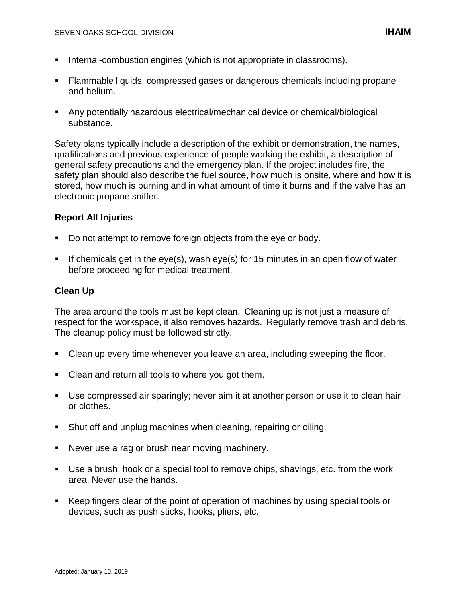- Internal-combustion engines (which is not appropriate in classrooms).
- Flammable liquids, compressed gases or dangerous chemicals including propane and helium.
- Any potentially hazardous electrical/mechanical device or chemical/biological substance.

Safety plans typically include a description of the exhibit or demonstration, the names, qualifications and previous experience of people working the exhibit, a description of general safety precautions and the emergency plan. If the project includes fire, the safety plan should also describe the fuel source, how much is onsite, where and how it is stored, how much is burning and in what amount of time it burns and if the valve has an electronic propane sniffer.

### **Report All Injuries**

- Do not attempt to remove foreign objects from the eye or body.
- If chemicals get in the eye(s), wash eye(s) for 15 minutes in an open flow of water before proceeding for medical treatment.

### **Clean Up**

The area around the tools must be kept clean. Cleaning up is not just a measure of respect for the workspace, it also removes hazards. Regularly remove trash and debris. The cleanup policy must be followed strictly.

- Clean up every time whenever you leave an area, including sweeping the floor.
- Clean and return all tools to where you got them.
- Use compressed air sparingly; never aim it at another person or use it to clean hair or clothes.
- Shut off and unplug machines when cleaning, repairing or oiling.
- Never use a rag or brush near moving machinery.
- Use a brush, hook or a special tool to remove chips, shavings, etc. from the work area. Never use the hands.
- Keep fingers clear of the point of operation of machines by using special tools or devices, such as push sticks, hooks, pliers, etc.